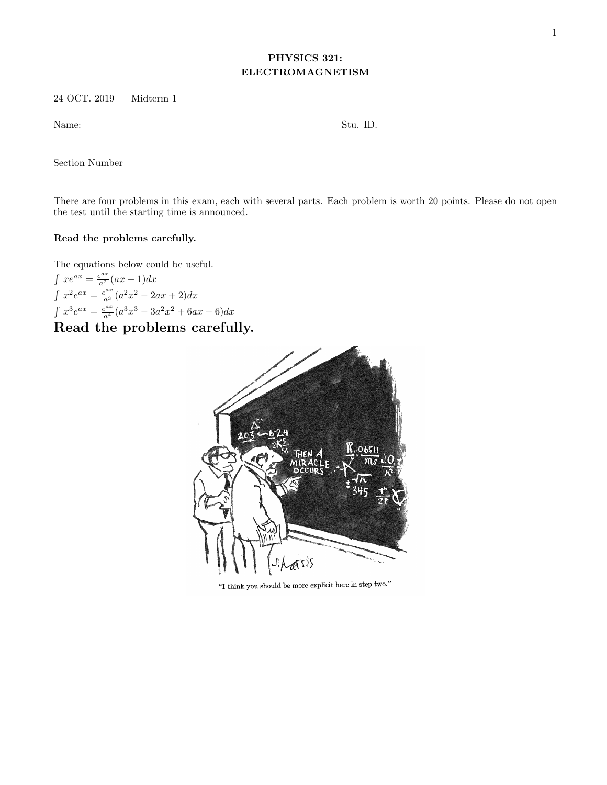## PHYSICS 321: ELECTROMAGNETISM

24 OCT. 2019 Midterm 1

Name: Stu. ID.

Section Number

There are four problems in this exam, each with several parts. Each problem is worth 20 points. Please do not open the test until the starting time is announced.

## Read the problems carefully.

The equations below could be useful.

 $\int xe^{ax} = \frac{e^{ax}}{a^2}(ax-1)dx$  $\int x^2 e^{ax} = \frac{e^{ax}}{a^3} (a^2 x^2 - 2ax + 2) dx$  $\int x^3 e^{ax} = \frac{e^{ax}}{a^4} (a^3 x^3 - 3a^2 x^2 + 6ax - 6) dx$ 

## Read the problems carefully.



"I think you should be more explicit here in step two."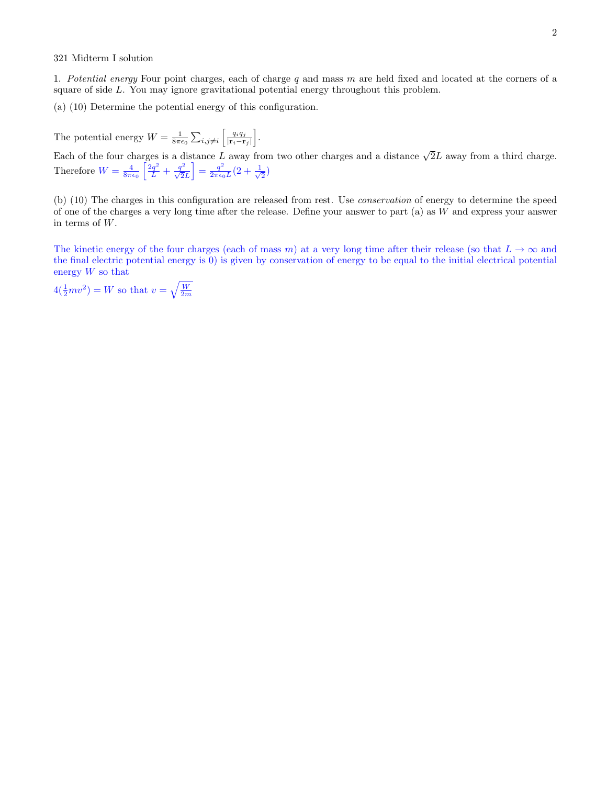## 321 Midterm I solution

1. Potential energy Four point charges, each of charge  $q$  and mass  $m$  are held fixed and located at the corners of a square of side L. You may ignore gravitational potential energy throughout this problem.

(a) (10) Determine the potential energy of this configuration.

The potential energy  $W = \frac{1}{8\pi\epsilon_0} \sum_{i,j\neq i} \left[ \frac{q_i q_j}{|\mathbf{r}_i - \mathbf{r}_j|} \right]$  $\frac{q_i q_j}{|\mathbf{r}_i-\mathbf{r}_j|}\bigg].$ 

Each of the four charges is a distance L away from two other charges and a distance  $\sqrt{2}L$  away from a third charge. Therefore  $W = \frac{4}{8\pi\epsilon_0} \left[ \frac{2q^2}{L} + \frac{q^2}{\sqrt{2}L} \right] = \frac{q^2}{2\pi\epsilon_0}$  $\frac{q^2}{2\pi\epsilon_0 L}(2+\frac{1}{\sqrt{2}}$  $_{\overline{2}})$ 

(b) (10) The charges in this configuration are released from rest. Use conservation of energy to determine the speed of one of the charges a very long time after the release. Define your answer to part (a) as W and express your answer in terms of W.

The kinetic energy of the four charges (each of mass m) at a very long time after their release (so that  $L \to \infty$  and the final electric potential energy is 0) is given by conservation of energy to be equal to the initial electrical potential energy  $W$  so that

 $4(\frac{1}{2}mv^2) = W$  so that  $v = \sqrt{\frac{W}{2m}}$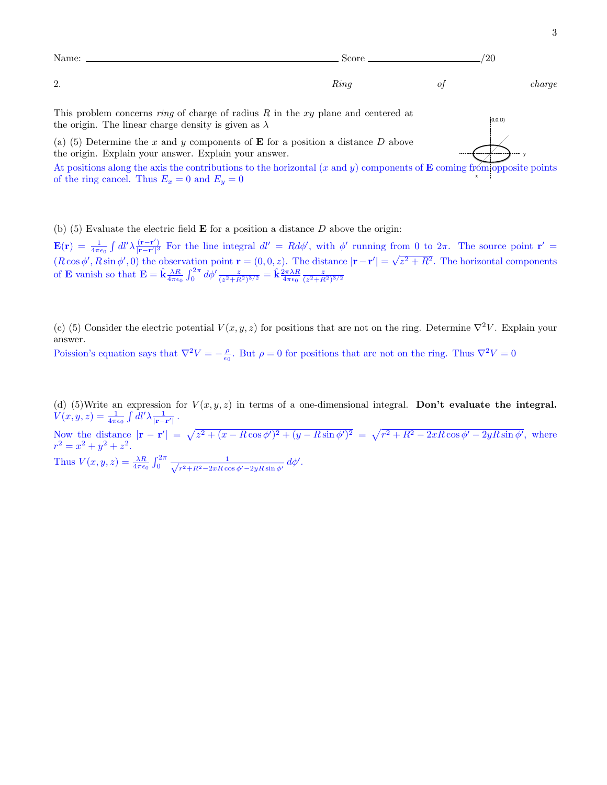

(b) (5) Evaluate the electric field  $\bf{E}$  for a position a distance  $D$  above the origin:

 $\mathbf{E}(\mathbf{r}) \, = \, \frac{1}{4 \pi \epsilon_0} \int dl' \lambda \frac{(\mathbf{r}-\mathbf{r'})}{|\mathbf{r}-\mathbf{r'}|^3}$  $\frac{(\mathbf{r}-\mathbf{r}')}{|\mathbf{r}-\mathbf{r}'|^3}$  For the line integral  $dl' = Rd\phi'$ , with  $\phi'$  running from 0 to  $2\pi$ . The source point  $\mathbf{r}' =$  $(R \cos \phi', R \sin \phi', 0)$  the observation point  $\mathbf{r} = (0, 0, z)$ . The distance  $|\mathbf{r} - \mathbf{r}'|$ √  $z^2 + R^2$ . The horizontal components of **E** vanish so that  $\mathbf{E} = \hat{\mathbf{k}} \frac{\lambda R}{4\pi\epsilon_0} \int_0^{2\pi} d\phi' \frac{z}{(z^2 + R^2)^{3/2}} = \hat{\mathbf{k}} \frac{2\pi\lambda R}{4\pi\epsilon_0} \frac{z}{(z^2 + R^2)^{3/2}}$ 

(c) (5) Consider the electric potential  $V(x, y, z)$  for positions that are not on the ring. Determine  $\nabla^2 V$ . Explain your answer.

Poission's equation says that  $\nabla^2 V = -\frac{\rho}{\epsilon_0}$ . But  $\rho = 0$  for positions that are not on the ring. Thus  $\nabla^2 V = 0$ 

(d) (5)Write an expression for  $V(x, y, z)$  in terms of a one-dimensional integral. Don't evaluate the integral.  $V(x,y,z)=\frac{1}{4\pi\epsilon_0}\int dl'\lambda\frac{1}{|{\bf r}-{\bf r}'|}$  .  $4\pi\epsilon_0$ 

Now the distance  $|\mathbf{r} - \mathbf{r}'| = \sqrt{z^2 + (x - R\cos\phi')^2 + (y - R\sin\phi')^2} = \sqrt{r^2 + R^2 - 2xR\cos\phi' - 2yR\sin\phi'}$ , where  $r^2 = x^2 + y^2 + z^2$ . Thus  $V(x, y, z) = \frac{\lambda R}{4\pi\epsilon_0} \int_0^{2\pi} \frac{1}{\sqrt{r^2 + R^2 - 2xR\cos\theta}}$  $\frac{1}{r^2 + R^2 - 2xR\cos\phi' - 2yR\sin\phi'}\,d\phi'.$